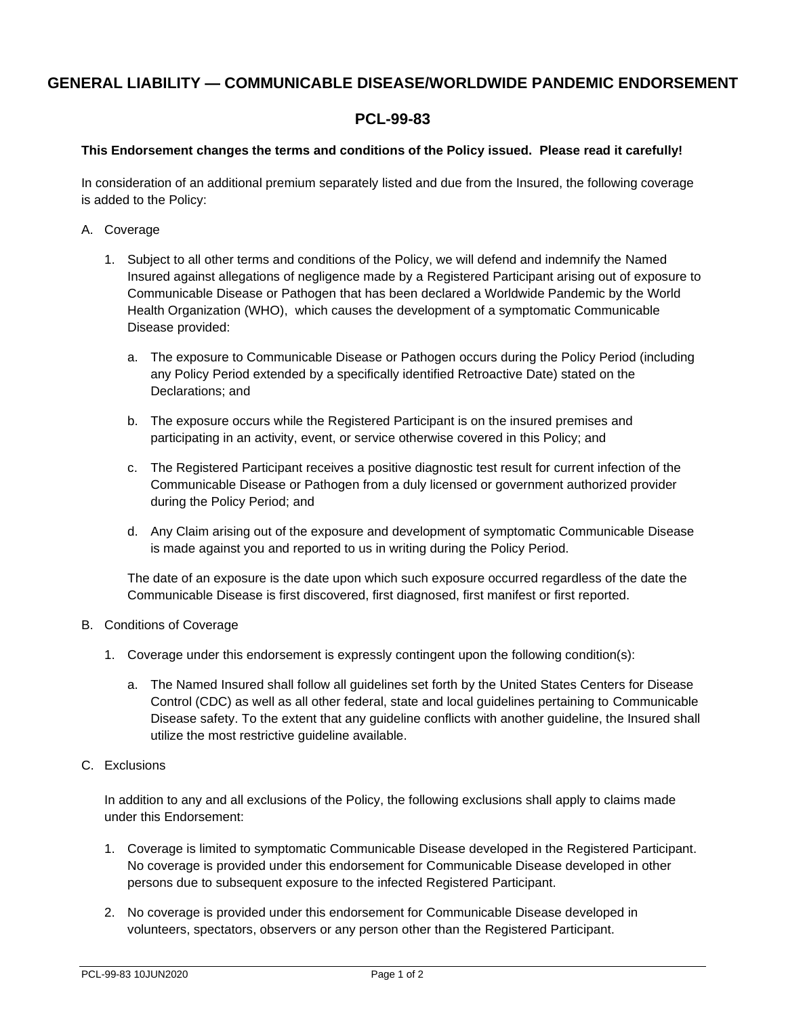## **GENERAL LIABILITY — COMMUNICABLE DISEASE/WORLDWIDE PANDEMIC ENDORSEMENT**

## **PCL-99-83**

## **This Endorsement changes the terms and conditions of the Policy issued. Please read it carefully!**

In consideration of an additional premium separately listed and due from the Insured, the following coverage is added to the Policy:

- A. Coverage
	- 1. Subject to all other terms and conditions of the Policy, we will defend and indemnify the Named Insured against allegations of negligence made by a Registered Participant arising out of exposure to Communicable Disease or Pathogen that has been declared a Worldwide Pandemic by the World Health Organization (WHO), which causes the development of a symptomatic Communicable Disease provided:
		- a. The exposure to Communicable Disease or Pathogen occurs during the Policy Period (including any Policy Period extended by a specifically identified Retroactive Date) stated on the Declarations; and
		- b. The exposure occurs while the Registered Participant is on the insured premises and participating in an activity, event, or service otherwise covered in this Policy; and
		- c. The Registered Participant receives a positive diagnostic test result for current infection of the Communicable Disease or Pathogen from a duly licensed or government authorized provider during the Policy Period; and
		- d. Any Claim arising out of the exposure and development of symptomatic Communicable Disease is made against you and reported to us in writing during the Policy Period.

The date of an exposure is the date upon which such exposure occurred regardless of the date the Communicable Disease is first discovered, first diagnosed, first manifest or first reported.

- B. Conditions of Coverage
	- 1. Coverage under this endorsement is expressly contingent upon the following condition(s):
		- a. The Named Insured shall follow all guidelines set forth by the United States Centers for Disease Control (CDC) as well as all other federal, state and local guidelines pertaining to Communicable Disease safety. To the extent that any guideline conflicts with another guideline, the Insured shall utilize the most restrictive guideline available.
- C. Exclusions

In addition to any and all exclusions of the Policy, the following exclusions shall apply to claims made under this Endorsement:

- 1. Coverage is limited to symptomatic Communicable Disease developed in the Registered Participant. No coverage is provided under this endorsement for Communicable Disease developed in other persons due to subsequent exposure to the infected Registered Participant.
- 2. No coverage is provided under this endorsement for Communicable Disease developed in volunteers, spectators, observers or any person other than the Registered Participant.